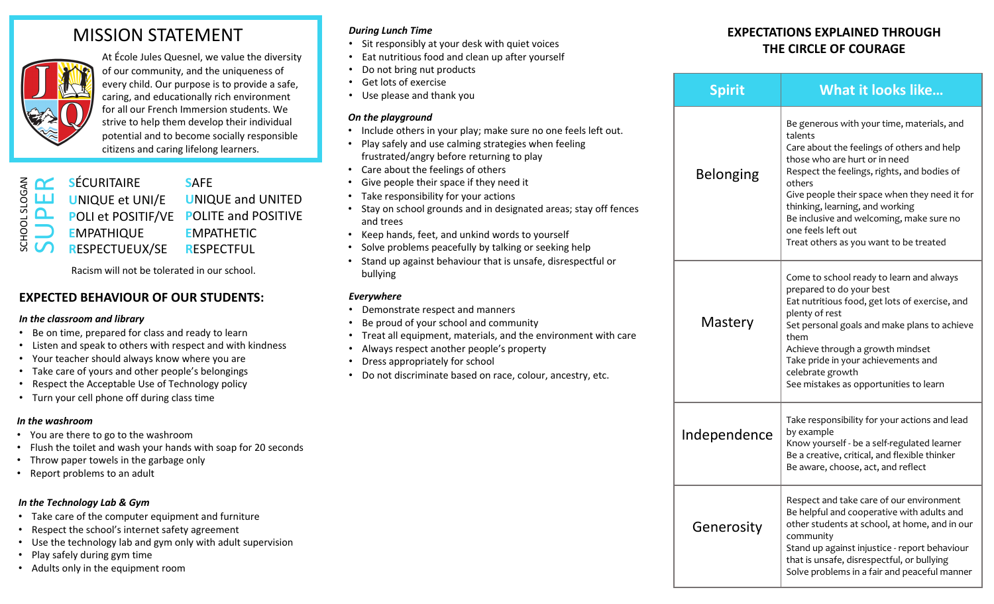# MISSION STATEMENT



At École Jules Quesnel, we value the diversity of our community, and the uniqueness of every child. Our purpose is to provide a safe, caring, and educationally rich environment for all our French Immersion students. We strive to help them develop their individual potential and to become socially responsible citizens and caring lifelong learners.

|                          | <b>E OC</b> SÉCURITAIRE                                        | <b>SAFE</b>                            |
|--------------------------|----------------------------------------------------------------|----------------------------------------|
| SLOG,                    | <b>LLJ</b> UNIQUE et UNI/E                                     | <b>UNIQUE and UNITED</b>               |
| $\overline{\phantom{0}}$ |                                                                | POLI et POSITIF/VE POLITE and POSITIVE |
| ŏ i                      | <b>EMPATHIQUE</b>                                              | <b>EMPATHETIC</b>                      |
|                          | $\overline{\mathbb{S}}$ $\overline{\mathsf{C}}$ respectueux/se | <b>RESPECTFUL</b>                      |
|                          |                                                                |                                        |

Racism will not be tolerated in our school.

## **EXPECTED BEHAVIOUR OF OUR STUDENTS:**

#### *In the classroom and library*

- Be on time, prepared for class and ready to learn
- Listen and speak to others with respect and with kindness
- Your teacher should always know where you are
- Take care of yours and other people's belongings
- Respect the Acceptable Use of Technology policy
- Turn your cell phone off during class time

### *In the washroom*

- You are there to go to the washroom
- Flush the toilet and wash your hands with soap for 20 seconds
- Throw paper towels in the garbage only
- Report problems to an adult

### *In the Technology Lab & Gym*

- Take care of the computer equipment and furniture
- Respect the school's internet safety agreement
- Use the technology lab and gym only with adult supervision
- Play safely during gym time
- Adults only in the equipment room

### *During Lunch Time*

- Sit responsibly at your desk with quiet voices
- Eat nutritious food and clean up after yourself
- Do not bring nut products
- Get lots of exercise
- Use please and thank you

### *On the playground*

- Include others in your play; make sure no one feels left out.
- Play safely and use calming strategies when feeling frustrated/angry before returning to play
- Care about the feelings of others
- Give people their space if they need it
- Take responsibility for your actions
- Stay on school grounds and in designated areas; stay off fences and trees
- Keep hands, feet, and unkind words to yourself
- Solve problems peacefully by talking or seeking help
- Stand up against behaviour that is unsafe, disrespectful or bullying

### *Everywhere*

- Demonstrate respect and manners
- Be proud of your school and community
- Treat all equipment, materials, and the environment with care
- Always respect another people's property
- Dress appropriately for school
- Do not discriminate based on race, colour, ancestry, etc.

# **EXPECTATIONS EXPLAINED THROUGH THE CIRCLE OF COURAGE**

|  | <b>Spirit</b>    | <b>What it looks like</b>                                                                                                                                                                                                                                                                                                                                                                     |  |
|--|------------------|-----------------------------------------------------------------------------------------------------------------------------------------------------------------------------------------------------------------------------------------------------------------------------------------------------------------------------------------------------------------------------------------------|--|
|  | <b>Belonging</b> | Be generous with your time, materials, and<br>talents<br>Care about the feelings of others and help<br>those who are hurt or in need<br>Respect the feelings, rights, and bodies of<br>others<br>Give people their space when they need it for<br>thinking, learning, and working<br>Be inclusive and welcoming, make sure no<br>one feels left out<br>Treat others as you want to be treated |  |
|  | Mastery          | Come to school ready to learn and always<br>prepared to do your best<br>Eat nutritious food, get lots of exercise, and<br>plenty of rest<br>Set personal goals and make plans to achieve<br>them<br>Achieve through a growth mindset<br>Take pride in your achievements and<br>celebrate growth<br>See mistakes as opportunities to learn                                                     |  |
|  | Independence     | Take responsibility for your actions and lead<br>by example<br>Know yourself - be a self-regulated learner<br>Be a creative, critical, and flexible thinker<br>Be aware, choose, act, and reflect                                                                                                                                                                                             |  |
|  | Generosity       | Respect and take care of our environment<br>Be helpful and cooperative with adults and<br>other students at school, at home, and in our<br>community<br>Stand up against injustice - report behaviour<br>that is unsafe, disrespectful, or bullying<br>Solve problems in a fair and peaceful manner                                                                                           |  |